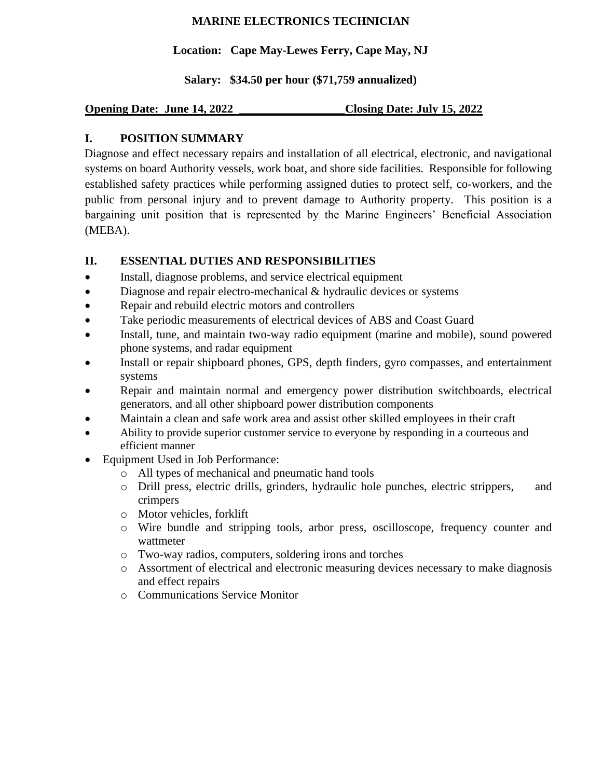## **MARINE ELECTRONICS TECHNICIAN**

### **Location: Cape May-Lewes Ferry, Cape May, NJ**

**Salary: \$34.50 per hour (\$71,759 annualized)**

**Opening Date: June 14, 2022 \_\_\_\_\_\_\_\_\_\_\_\_\_\_\_\_\_\_Closing Date: July 15, 2022**

## **I. POSITION SUMMARY**

Diagnose and effect necessary repairs and installation of all electrical, electronic, and navigational systems on board Authority vessels, work boat, and shore side facilities. Responsible for following established safety practices while performing assigned duties to protect self, co-workers, and the public from personal injury and to prevent damage to Authority property. This position is a bargaining unit position that is represented by the Marine Engineers' Beneficial Association (MEBA).

## **II. ESSENTIAL DUTIES AND RESPONSIBILITIES**

- Install, diagnose problems, and service electrical equipment
- Diagnose and repair electro-mechanical & hydraulic devices or systems
- Repair and rebuild electric motors and controllers
- Take periodic measurements of electrical devices of ABS and Coast Guard
- Install, tune, and maintain two-way radio equipment (marine and mobile), sound powered phone systems, and radar equipment
- Install or repair shipboard phones, GPS, depth finders, gyro compasses, and entertainment systems
- Repair and maintain normal and emergency power distribution switchboards, electrical generators, and all other shipboard power distribution components
- Maintain a clean and safe work area and assist other skilled employees in their craft
- Ability to provide superior customer service to everyone by responding in a courteous and efficient manner
- Equipment Used in Job Performance:
	- o All types of mechanical and pneumatic hand tools
	- o Drill press, electric drills, grinders, hydraulic hole punches, electric strippers, and crimpers
	- o Motor vehicles, forklift
	- o Wire bundle and stripping tools, arbor press, oscilloscope, frequency counter and wattmeter
	- o Two-way radios, computers, soldering irons and torches
	- o Assortment of electrical and electronic measuring devices necessary to make diagnosis and effect repairs
	- o Communications Service Monitor